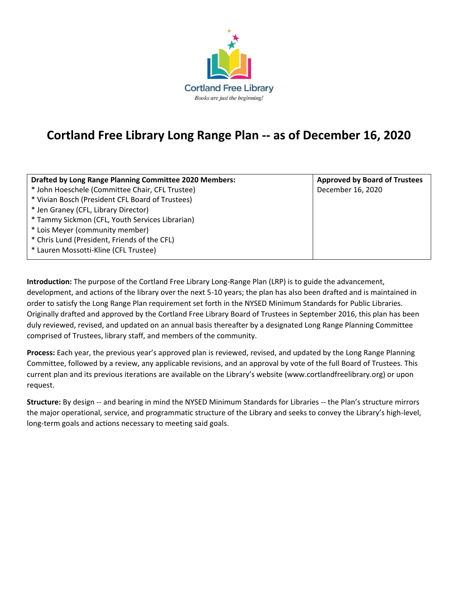

## **Cortland Free Library Long Range Plan -- as of December 16, 2020**

| <b>Drafted by Long Range Planning Committee 2020 Members:</b> | <b>Approved by Board of Trustees</b> |
|---------------------------------------------------------------|--------------------------------------|
| * John Hoeschele (Committee Chair, CFL Trustee)               | December 16, 2020                    |
| * Vivian Bosch (President CFL Board of Trustees)              |                                      |
| * Jen Graney (CFL, Library Director)                          |                                      |
| * Tammy Sickmon (CFL, Youth Services Librarian)               |                                      |
| * Lois Meyer (community member)                               |                                      |
| * Chris Lund (President, Friends of the CFL)                  |                                      |
| * Lauren Mossotti-Kline (CFL Trustee)                         |                                      |

**Introduction:** The purpose of the Cortland Free Library Long-Range Plan (LRP) is to guide the advancement, development, and actions of the library over the next 5-10 years; the plan has also been drafted and is maintained in order to satisfy the Long Range Plan requirement set forth in the NYSED Minimum Standards for Public Libraries. Originally drafted and approved by the Cortland Free Library Board of Trustees in September 2016, this plan has been duly reviewed, revised, and updated on an annual basis thereafter by a designated Long Range Planning Committee comprised of Trustees, library staff, and members of the community.

**Process:** Each year, the previous year's approved plan is reviewed, revised, and updated by the Long Range Planning Committee, followed by a review, any applicable revisions, and an approval by vote of the full Board of Trustees. This current plan and its previous iterations are available on the Library's website (www.cortlandfreelibrary.org) or upon request.

**Structure:** By design -- and bearing in mind the NYSED Minimum Standards for Libraries -- the Plan's structure mirrors the major operational, service, and programmatic structure of the Library and seeks to convey the Library's high-level, long-term goals and actions necessary to meeting said goals.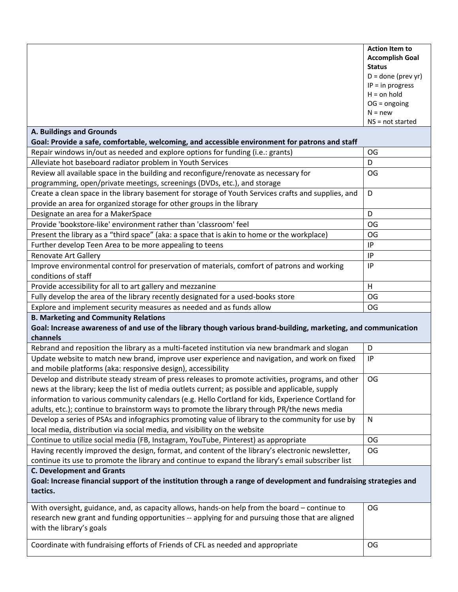|                                                                                                                                                                   | <b>Action Item to</b>                      |  |
|-------------------------------------------------------------------------------------------------------------------------------------------------------------------|--------------------------------------------|--|
|                                                                                                                                                                   | <b>Accomplish Goal</b>                     |  |
|                                                                                                                                                                   | <b>Status</b>                              |  |
|                                                                                                                                                                   | $D =$ done (prev yr)<br>$IP = in progress$ |  |
|                                                                                                                                                                   | $H =$ on hold                              |  |
|                                                                                                                                                                   | $OG = ongoing$                             |  |
|                                                                                                                                                                   | $N = new$                                  |  |
|                                                                                                                                                                   | NS = not started                           |  |
| <b>A. Buildings and Grounds</b><br>Goal: Provide a safe, comfortable, welcoming, and accessible environment for patrons and staff                                 |                                            |  |
| Repair windows in/out as needed and explore options for funding (i.e.: grants)                                                                                    | OG                                         |  |
| Alleviate hot baseboard radiator problem in Youth Services                                                                                                        | D                                          |  |
| Review all available space in the building and reconfigure/renovate as necessary for                                                                              | OG                                         |  |
| programming, open/private meetings, screenings (DVDs, etc.), and storage                                                                                          |                                            |  |
| Create a clean space in the library basement for storage of Youth Services crafts and supplies, and                                                               | D                                          |  |
| provide an area for organized storage for other groups in the library                                                                                             |                                            |  |
| Designate an area for a MakerSpace                                                                                                                                | D                                          |  |
| Provide 'bookstore-like' environment rather than 'classroom' feel                                                                                                 | OG                                         |  |
| Present the library as a "third space" (aka: a space that is akin to home or the workplace)                                                                       | OG                                         |  |
| Further develop Teen Area to be more appealing to teens                                                                                                           | IP                                         |  |
| <b>Renovate Art Gallery</b>                                                                                                                                       | IP                                         |  |
| Improve environmental control for preservation of materials, comfort of patrons and working                                                                       | IP                                         |  |
| conditions of staff                                                                                                                                               |                                            |  |
| Provide accessibility for all to art gallery and mezzanine                                                                                                        | H                                          |  |
| Fully develop the area of the library recently designated for a used-books store                                                                                  | OG                                         |  |
| Explore and implement security measures as needed and as funds allow                                                                                              | OG                                         |  |
| <b>B. Marketing and Community Relations</b>                                                                                                                       |                                            |  |
| Goal: Increase awareness of and use of the library though various brand-building, marketing, and communication                                                    |                                            |  |
| channels                                                                                                                                                          |                                            |  |
| Rebrand and reposition the library as a multi-faceted institution via new brandmark and slogan                                                                    | D                                          |  |
| Update website to match new brand, improve user experience and navigation, and work on fixed                                                                      | IP                                         |  |
| and mobile platforms (aka: responsive design), accessibility<br>Develop and distribute steady stream of press releases to promote activities, programs, and other | OG                                         |  |
| news at the library; keep the list of media outlets current; as possible and applicable, supply                                                                   |                                            |  |
| information to various community calendars (e.g. Hello Cortland for kids, Experience Cortland for                                                                 |                                            |  |
| adults, etc.); continue to brainstorm ways to promote the library through PR/the news media                                                                       |                                            |  |
| Develop a series of PSAs and infographics promoting value of library to the community for use by                                                                  | N                                          |  |
| local media, distribution via social media, and visibility on the website                                                                                         |                                            |  |
| Continue to utilize social media (FB, Instagram, YouTube, Pinterest) as appropriate                                                                               | OG                                         |  |
| Having recently improved the design, format, and content of the library's electronic newsletter,                                                                  | OG                                         |  |
| continue its use to promote the library and continue to expand the library's email subscriber list                                                                |                                            |  |
| <b>C. Development and Grants</b>                                                                                                                                  |                                            |  |
| Goal: Increase financial support of the institution through a range of development and fundraising strategies and                                                 |                                            |  |
| tactics.                                                                                                                                                          |                                            |  |
| With oversight, guidance, and, as capacity allows, hands-on help from the board – continue to                                                                     | OG                                         |  |
| research new grant and funding opportunities -- applying for and pursuing those that are aligned                                                                  |                                            |  |
| with the library's goals                                                                                                                                          |                                            |  |
| Coordinate with fundraising efforts of Friends of CFL as needed and appropriate                                                                                   | OG                                         |  |
|                                                                                                                                                                   |                                            |  |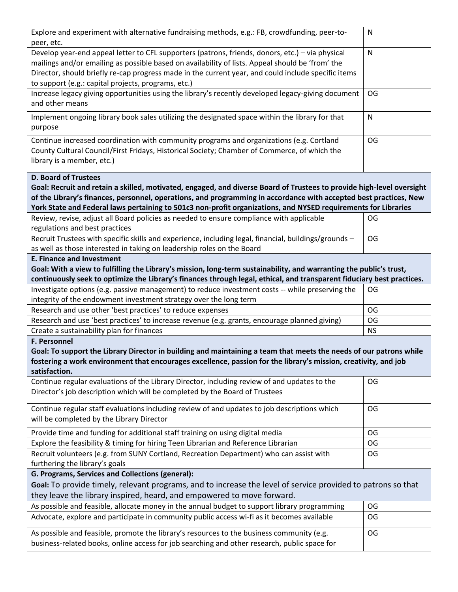| Explore and experiment with alternative fundraising methods, e.g.: FB, crowdfunding, peer-to-<br>peer, etc.                                                                                                                                                                                                                                                                                 | N         |  |  |  |
|---------------------------------------------------------------------------------------------------------------------------------------------------------------------------------------------------------------------------------------------------------------------------------------------------------------------------------------------------------------------------------------------|-----------|--|--|--|
| Develop year-end appeal letter to CFL supporters (patrons, friends, donors, etc.) - via physical<br>mailings and/or emailing as possible based on availability of lists. Appeal should be 'from' the<br>Director, should briefly re-cap progress made in the current year, and could include specific items<br>to support (e.g.: capital projects, programs, etc.)                          | N         |  |  |  |
| Increase legacy giving opportunities using the library's recently developed legacy-giving document<br>and other means                                                                                                                                                                                                                                                                       | OG        |  |  |  |
| Implement ongoing library book sales utilizing the designated space within the library for that<br>purpose                                                                                                                                                                                                                                                                                  | N         |  |  |  |
| Continue increased coordination with community programs and organizations (e.g. Cortland<br>County Cultural Council/First Fridays, Historical Society; Chamber of Commerce, of which the<br>library is a member, etc.)                                                                                                                                                                      | OG        |  |  |  |
| <b>D. Board of Trustees</b><br>Goal: Recruit and retain a skilled, motivated, engaged, and diverse Board of Trustees to provide high-level oversight<br>of the Library's finances, personnel, operations, and programming in accordance with accepted best practices, New<br>York State and Federal laws pertaining to 501c3 non-profit organizations, and NYSED requirements for Libraries |           |  |  |  |
| Review, revise, adjust all Board policies as needed to ensure compliance with applicable<br>regulations and best practices                                                                                                                                                                                                                                                                  | OG        |  |  |  |
| Recruit Trustees with specific skills and experience, including legal, financial, buildings/grounds -<br>as well as those interested in taking on leadership roles on the Board                                                                                                                                                                                                             | OG        |  |  |  |
| <b>E. Finance and Investment</b><br>Goal: With a view to fulfilling the Library's mission, long-term sustainability, and warranting the public's trust,<br>continuously seek to optimize the Library's finances through legal, ethical, and transparent fiduciary best practices.                                                                                                           |           |  |  |  |
| Investigate options (e.g. passive management) to reduce investment costs -- while preserving the                                                                                                                                                                                                                                                                                            | OG        |  |  |  |
| integrity of the endowment investment strategy over the long term                                                                                                                                                                                                                                                                                                                           |           |  |  |  |
| Research and use other 'best practices' to reduce expenses                                                                                                                                                                                                                                                                                                                                  | OG        |  |  |  |
| Research and use 'best practices' to increase revenue (e.g. grants, encourage planned giving)                                                                                                                                                                                                                                                                                               | OG        |  |  |  |
| Create a sustainability plan for finances                                                                                                                                                                                                                                                                                                                                                   | <b>NS</b> |  |  |  |
| <b>F. Personnel</b>                                                                                                                                                                                                                                                                                                                                                                         |           |  |  |  |
| Goal: To support the Library Director in building and maintaining a team that meets the needs of our patrons while<br>fostering a work environment that encourages excellence, passion for the library's mission, creativity, and job<br>satisfaction.                                                                                                                                      |           |  |  |  |
| Continue regular evaluations of the Library Director, including review of and updates to the<br>Director's job description which will be completed by the Board of Trustees                                                                                                                                                                                                                 | OG        |  |  |  |
| Continue regular staff evaluations including review of and updates to job descriptions which<br>will be completed by the Library Director                                                                                                                                                                                                                                                   | <b>OG</b> |  |  |  |
| Provide time and funding for additional staff training on using digital media                                                                                                                                                                                                                                                                                                               | <b>OG</b> |  |  |  |
| Explore the feasibility & timing for hiring Teen Librarian and Reference Librarian                                                                                                                                                                                                                                                                                                          | OG        |  |  |  |
| Recruit volunteers (e.g. from SUNY Cortland, Recreation Department) who can assist with<br>furthering the library's goals                                                                                                                                                                                                                                                                   | OG        |  |  |  |
| G. Programs, Services and Collections (general):                                                                                                                                                                                                                                                                                                                                            |           |  |  |  |
| Goal: To provide timely, relevant programs, and to increase the level of service provided to patrons so that<br>they leave the library inspired, heard, and empowered to move forward.                                                                                                                                                                                                      |           |  |  |  |
| As possible and feasible, allocate money in the annual budget to support library programming                                                                                                                                                                                                                                                                                                | OG        |  |  |  |
| Advocate, explore and participate in community public access wi-fi as it becomes available                                                                                                                                                                                                                                                                                                  | OG        |  |  |  |
| As possible and feasible, promote the library's resources to the business community (e.g.<br>business-related books, online access for job searching and other research, public space for                                                                                                                                                                                                   | OG        |  |  |  |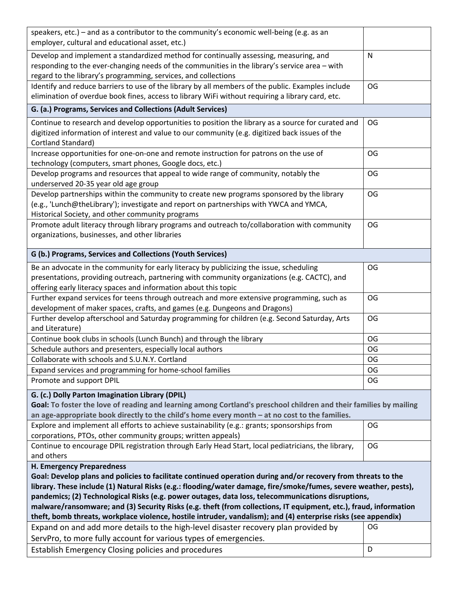| speakers, etc.) – and as a contributor to the community's economic well-being (e.g. as an                                                                                                                                         |           |  |
|-----------------------------------------------------------------------------------------------------------------------------------------------------------------------------------------------------------------------------------|-----------|--|
| employer, cultural and educational asset, etc.)                                                                                                                                                                                   |           |  |
| Develop and implement a standardized method for continually assessing, measuring, and                                                                                                                                             | N         |  |
| responding to the ever-changing needs of the communities in the library's service area - with                                                                                                                                     |           |  |
| regard to the library's programming, services, and collections                                                                                                                                                                    |           |  |
| Identify and reduce barriers to use of the library by all members of the public. Examples include                                                                                                                                 | OG        |  |
| elimination of overdue book fines, access to library WiFi without requiring a library card, etc.                                                                                                                                  |           |  |
| G. (a.) Programs, Services and Collections (Adult Services)                                                                                                                                                                       |           |  |
| Continue to research and develop opportunities to position the library as a source for curated and                                                                                                                                | OG        |  |
| digitized information of interest and value to our community (e.g. digitized back issues of the                                                                                                                                   |           |  |
| Cortland Standard)                                                                                                                                                                                                                |           |  |
| Increase opportunities for one-on-one and remote instruction for patrons on the use of                                                                                                                                            | OG        |  |
| technology (computers, smart phones, Google docs, etc.)                                                                                                                                                                           |           |  |
| Develop programs and resources that appeal to wide range of community, notably the<br>underserved 20-35 year old age group                                                                                                        | OG        |  |
| Develop partnerships within the community to create new programs sponsored by the library                                                                                                                                         | OG        |  |
| (e.g., 'Lunch@theLibrary'); investigate and report on partnerships with YWCA and YMCA,                                                                                                                                            |           |  |
| Historical Society, and other community programs                                                                                                                                                                                  |           |  |
| Promote adult literacy through library programs and outreach to/collaboration with community                                                                                                                                      | OG        |  |
| organizations, businesses, and other libraries                                                                                                                                                                                    |           |  |
|                                                                                                                                                                                                                                   |           |  |
| G (b.) Programs, Services and Collections (Youth Services)                                                                                                                                                                        |           |  |
| Be an advocate in the community for early literacy by publicizing the issue, scheduling                                                                                                                                           | OG        |  |
| presentations, providing outreach, partnering with community organizations (e.g. CACTC), and                                                                                                                                      |           |  |
| offering early literacy spaces and information about this topic                                                                                                                                                                   |           |  |
| Further expand services for teens through outreach and more extensive programming, such as                                                                                                                                        | OG        |  |
| development of maker spaces, crafts, and games (e.g. Dungeons and Dragons)                                                                                                                                                        |           |  |
| Further develop afterschool and Saturday programming for children (e.g. Second Saturday, Arts<br>and Literature)                                                                                                                  | OG        |  |
| Continue book clubs in schools (Lunch Bunch) and through the library                                                                                                                                                              | <b>OG</b> |  |
| Schedule authors and presenters, especially local authors                                                                                                                                                                         | OG        |  |
| Collaborate with schools and S.U.N.Y. Cortland                                                                                                                                                                                    | OG        |  |
| Expand services and programming for home-school families                                                                                                                                                                          | OG        |  |
| Promote and support DPIL                                                                                                                                                                                                          | OG        |  |
|                                                                                                                                                                                                                                   |           |  |
| G. (c.) Dolly Parton Imagination Library (DPIL)                                                                                                                                                                                   |           |  |
| Goal: To foster the love of reading and learning among Cortland's preschool children and their families by mailing                                                                                                                |           |  |
| an age-appropriate book directly to the child's home every month - at no cost to the families.                                                                                                                                    |           |  |
| Explore and implement all efforts to achieve sustainability (e.g.: grants; sponsorships from                                                                                                                                      | OG        |  |
| corporations, PTOs, other community groups; written appeals)                                                                                                                                                                      | OG        |  |
| Continue to encourage DPIL registration through Early Head Start, local pediatricians, the library,<br>and others                                                                                                                 |           |  |
| H. Emergency Preparedness                                                                                                                                                                                                         |           |  |
|                                                                                                                                                                                                                                   |           |  |
| Goal: Develop plans and policies to facilitate continued operation during and/or recovery from threats to the<br>library. These include (1) Natural Risks (e.g.: flooding/water damage, fire/smoke/fumes, severe weather, pests), |           |  |
| pandemics; (2) Technological Risks (e.g. power outages, data loss, telecommunications disruptions,                                                                                                                                |           |  |
| malware/ransomware; and (3) Security Risks (e.g. theft (from collections, IT equipment, etc.), fraud, information                                                                                                                 |           |  |
| theft, bomb threats, workplace violence, hostile intruder, vandalism); and (4) enterprise risks (see appendix)                                                                                                                    |           |  |
| Expand on and add more details to the high-level disaster recovery plan provided by                                                                                                                                               | OG        |  |
| ServPro, to more fully account for various types of emergencies.                                                                                                                                                                  |           |  |
| Establish Emergency Closing policies and procedures                                                                                                                                                                               | D         |  |
|                                                                                                                                                                                                                                   |           |  |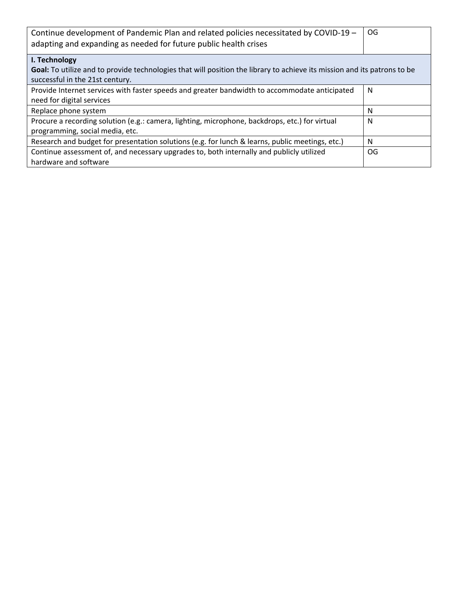| Continue development of Pandemic Plan and related policies necessitated by COVID-19 -<br>adapting and expanding as needed for future public health crises   | OG. |  |
|-------------------------------------------------------------------------------------------------------------------------------------------------------------|-----|--|
| I. Technology                                                                                                                                               |     |  |
| Goal: To utilize and to provide technologies that will position the library to achieve its mission and its patrons to be<br>successful in the 21st century. |     |  |
| Provide Internet services with faster speeds and greater bandwidth to accommodate anticipated                                                               | N   |  |
| need for digital services                                                                                                                                   |     |  |
| Replace phone system                                                                                                                                        | N   |  |
| Procure a recording solution (e.g.: camera, lighting, microphone, backdrops, etc.) for virtual                                                              | N   |  |
| programming, social media, etc.                                                                                                                             |     |  |
| Research and budget for presentation solutions (e.g. for lunch & learns, public meetings, etc.)                                                             | N   |  |
| Continue assessment of, and necessary upgrades to, both internally and publicly utilized                                                                    | OG. |  |
| hardware and software                                                                                                                                       |     |  |